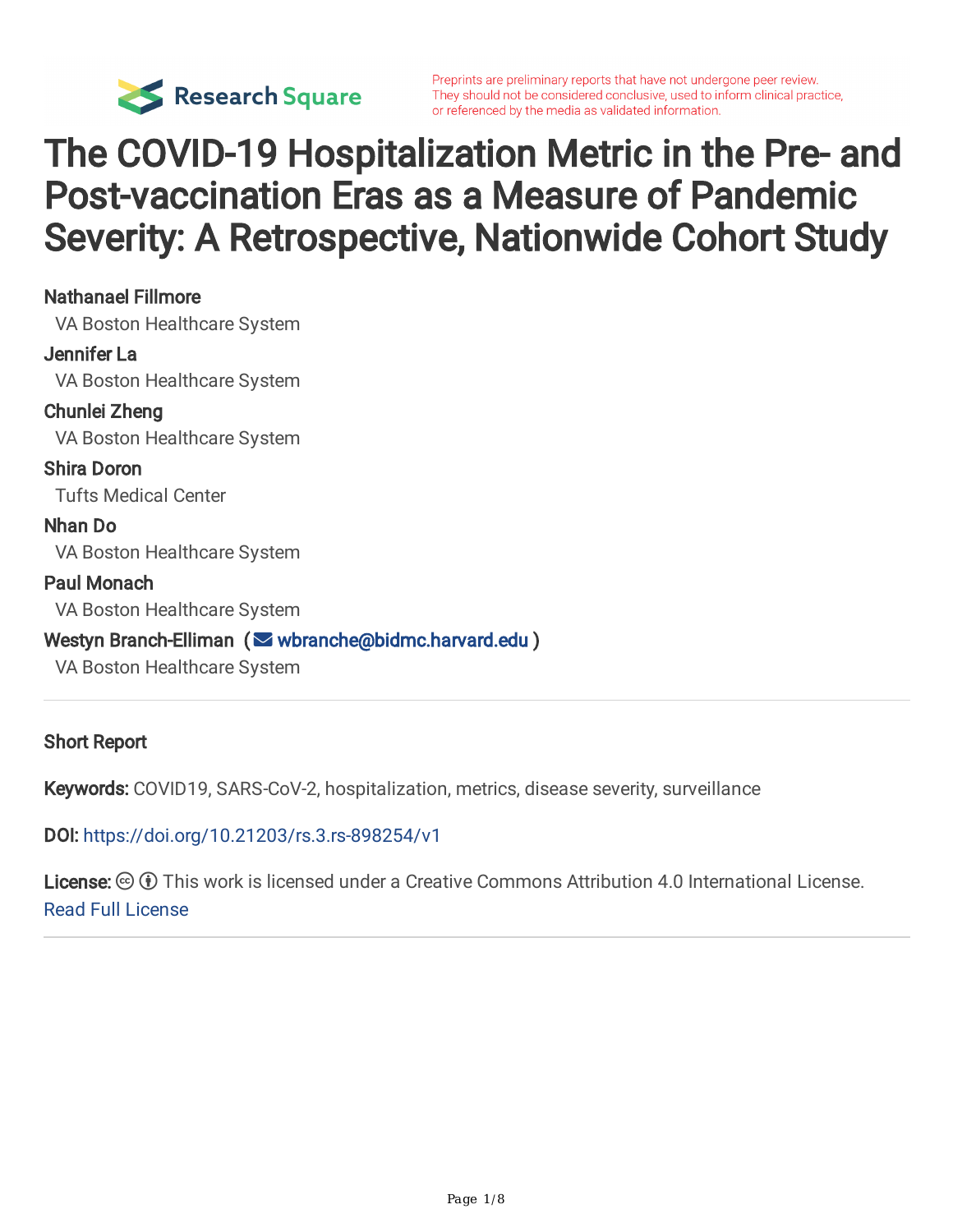

# The COVID-19 Hospitalization Metric in the Pre- and Post-vaccination Eras as a Measure of Pandemic Severity: A Retrospective, Nationwide Cohort Study

#### Nathanael Fillmore

VA Boston Healthcare System

#### Jennifer La

VA Boston Healthcare System

Chunlei Zheng VA Boston Healthcare System

Shira Doron Tufts Medical Center

Nhan Do VA Boston Healthcare System

#### Paul Monach

VA Boston Healthcare System

#### Westyn Branch-Elliman ( [wbranche@bidmc.harvard.edu](mailto:wbranche@bidmc.harvard.edu) )

VA Boston Healthcare System

#### Short Report

Keywords: COVID19, SARS-CoV-2, hospitalization, metrics, disease severity, surveillance

DOI: <https://doi.org/10.21203/rs.3.rs-898254/v1>

License:  $\odot$  0 This work is licensed under a Creative Commons Attribution 4.0 International License. [Read Full License](https://creativecommons.org/licenses/by/4.0/)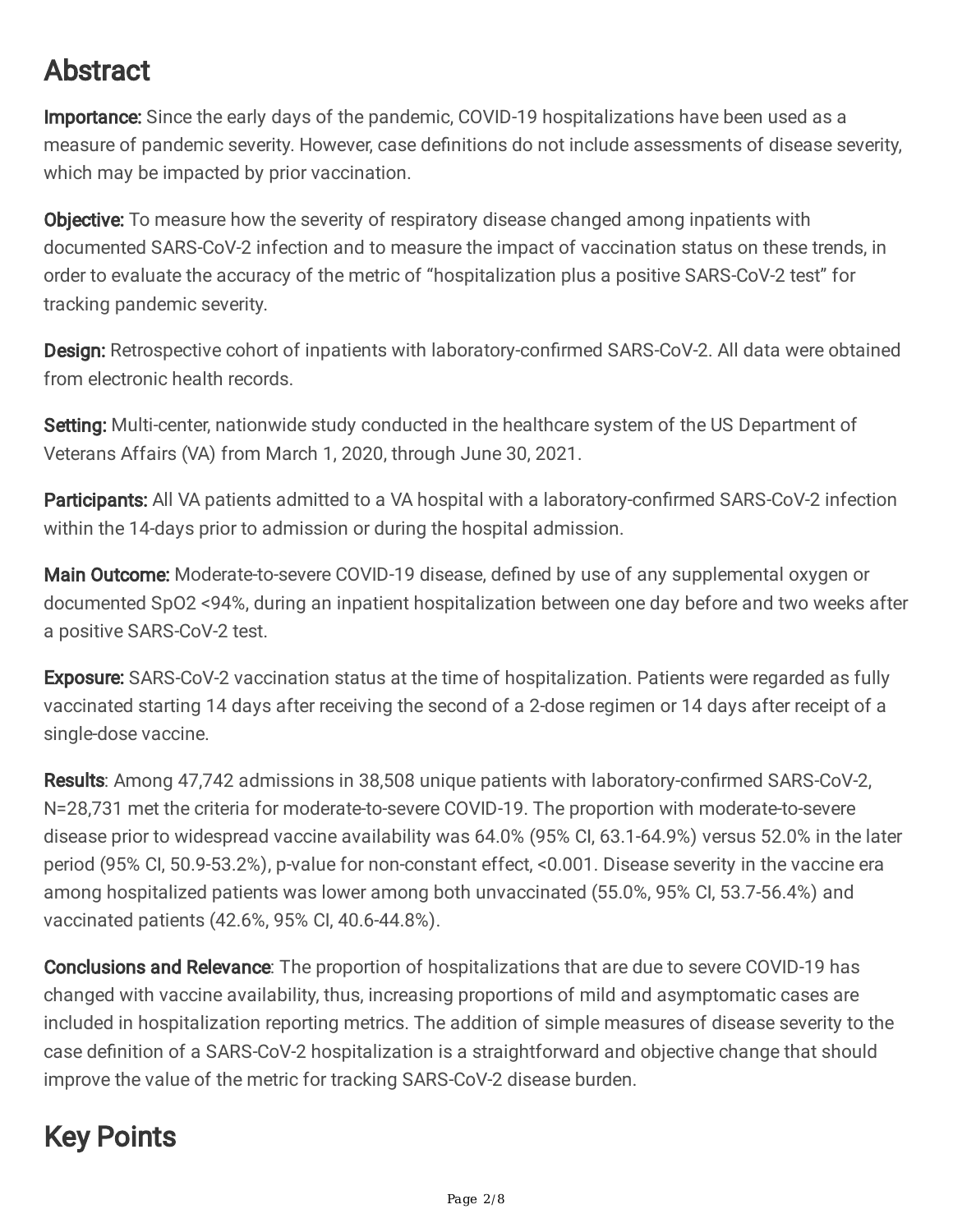## Abstract

Importance: Since the early days of the pandemic, COVID-19 hospitalizations have been used as a measure of pandemic severity. However, case definitions do not include assessments of disease severity, which may be impacted by prior vaccination.

**Objective:** To measure how the severity of respiratory disease changed among inpatients with documented SARS-CoV-2 infection and to measure the impact of vaccination status on these trends, in order to evaluate the accuracy of the metric of "hospitalization plus a positive SARS-CoV-2 test" for tracking pandemic severity.

Design: Retrospective cohort of inpatients with laboratory-confirmed SARS-CoV-2. All data were obtained from electronic health records.

Setting: Multi-center, nationwide study conducted in the healthcare system of the US Department of Veterans Affairs (VA) from March 1, 2020, through June 30, 2021.

Participants: All VA patients admitted to a VA hospital with a laboratory-confirmed SARS-CoV-2 infection within the 14-days prior to admission or during the hospital admission.

Main Outcome: Moderate-to-severe COVID-19 disease, defined by use of any supplemental oxygen or documented SpO2 <94%, during an inpatient hospitalization between one day before and two weeks after a positive SARS-CoV-2 test.

**Exposure:** SARS-CoV-2 vaccination status at the time of hospitalization. Patients were regarded as fully vaccinated starting 14 days after receiving the second of a 2-dose regimen or 14 days after receipt of a single-dose vaccine.

Results: Among 47,742 admissions in 38,508 unique patients with laboratory-confirmed SARS-CoV-2, N=28,731 met the criteria for moderate-to-severe COVID-19. The proportion with moderate-to-severe disease prior to widespread vaccine availability was 64.0% (95% CI, 63.1-64.9%) versus 52.0% in the later period (95% CI, 50.9-53.2%), p-value for non-constant effect, <0.001. Disease severity in the vaccine era among hospitalized patients was lower among both unvaccinated (55.0%, 95% CI, 53.7-56.4%) and vaccinated patients (42.6%, 95% CI, 40.6-44.8%).

Conclusions and Relevance: The proportion of hospitalizations that are due to severe COVID-19 has changed with vaccine availability, thus, increasing proportions of mild and asymptomatic cases are included in hospitalization reporting metrics. The addition of simple measures of disease severity to the case definition of a SARS-CoV-2 hospitalization is a straightforward and objective change that should improve the value of the metric for tracking SARS-CoV-2 disease burden.

## Key Points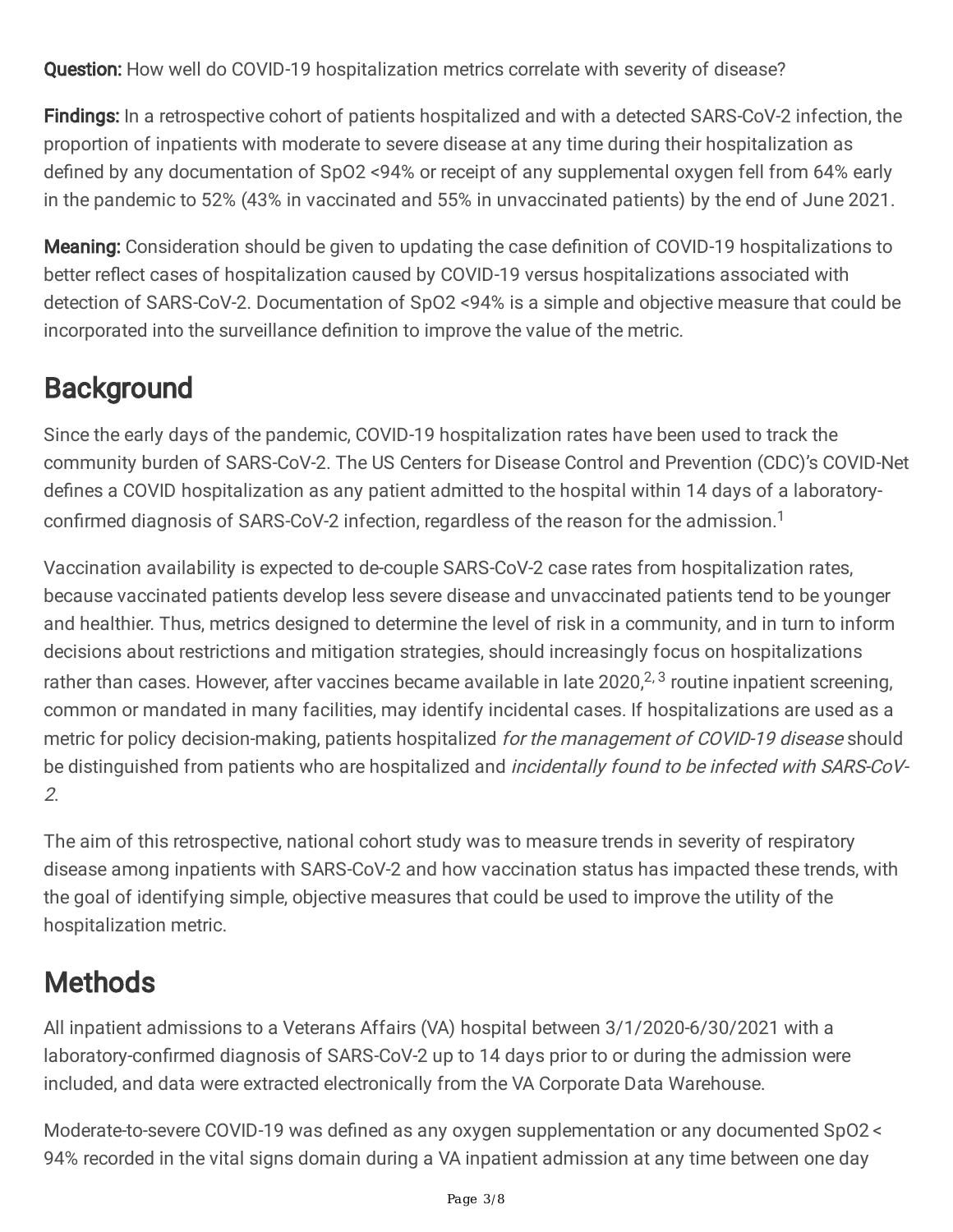Question: How well do COVID-19 hospitalization metrics correlate with severity of disease?

Findings: In a retrospective cohort of patients hospitalized and with a detected SARS-CoV-2 infection, the proportion of inpatients with moderate to severe disease at any time during their hospitalization as defined by any documentation of SpO2 <94% or receipt of any supplemental oxygen fell from 64% early in the pandemic to 52% (43% in vaccinated and 55% in unvaccinated patients) by the end of June 2021.

Meaning: Consideration should be given to updating the case definition of COVID-19 hospitalizations to better reflect cases of hospitalization caused by COVID-19 versus hospitalizations associated with detection of SARS-CoV-2. Documentation of SpO2 <94% is a simple and objective measure that could be incorporated into the surveillance definition to improve the value of the metric.

## **Background**

Since the early days of the pandemic, COVID-19 hospitalization rates have been used to track the community burden of SARS-CoV-2. The US Centers for Disease Control and Prevention (CDC)'s COVID-Net defines a COVID hospitalization as any patient admitted to the hospital within 14 days of a laboratoryconfirmed diagnosis of SARS-CoV-2 infection, regardless of the reason for the admission. 1

Vaccination availability is expected to de-couple SARS-CoV-2 case rates from hospitalization rates, because vaccinated patients develop less severe disease and unvaccinated patients tend to be younger and healthier. Thus, metrics designed to determine the level of risk in a community, and in turn to inform decisions about restrictions and mitigation strategies, should increasingly focus on hospitalizations rather than cases. However, after vaccines became available in late 2020,<sup>2, 3</sup> routine inpatient screening, common or mandated in many facilities, may identify incidental cases. If hospitalizations are used as a metric for policy decision-making, patients hospitalized for the management of COVID-19 disease should be distinguished from patients who are hospitalized and *incidentally found to be infected with SARS-CoV-*2.

The aim of this retrospective, national cohort study was to measure trends in severity of respiratory disease among inpatients with SARS-CoV-2 and how vaccination status has impacted these trends, with the goal of identifying simple, objective measures that could be used to improve the utility of the hospitalization metric.

## **Methods**

All inpatient admissions to a Veterans Affairs (VA) hospital between 3/1/2020-6/30/2021 with a laboratory-confirmed diagnosis of SARS-CoV-2 up to 14 days prior to or during the admission were included, and data were extracted electronically from the VA Corporate Data Warehouse.

Moderate-to-severe COVID-19 was defined as any oxygen supplementation or any documented SpO2 < 94% recorded in the vital signs domain during a VA inpatient admission at any time between one day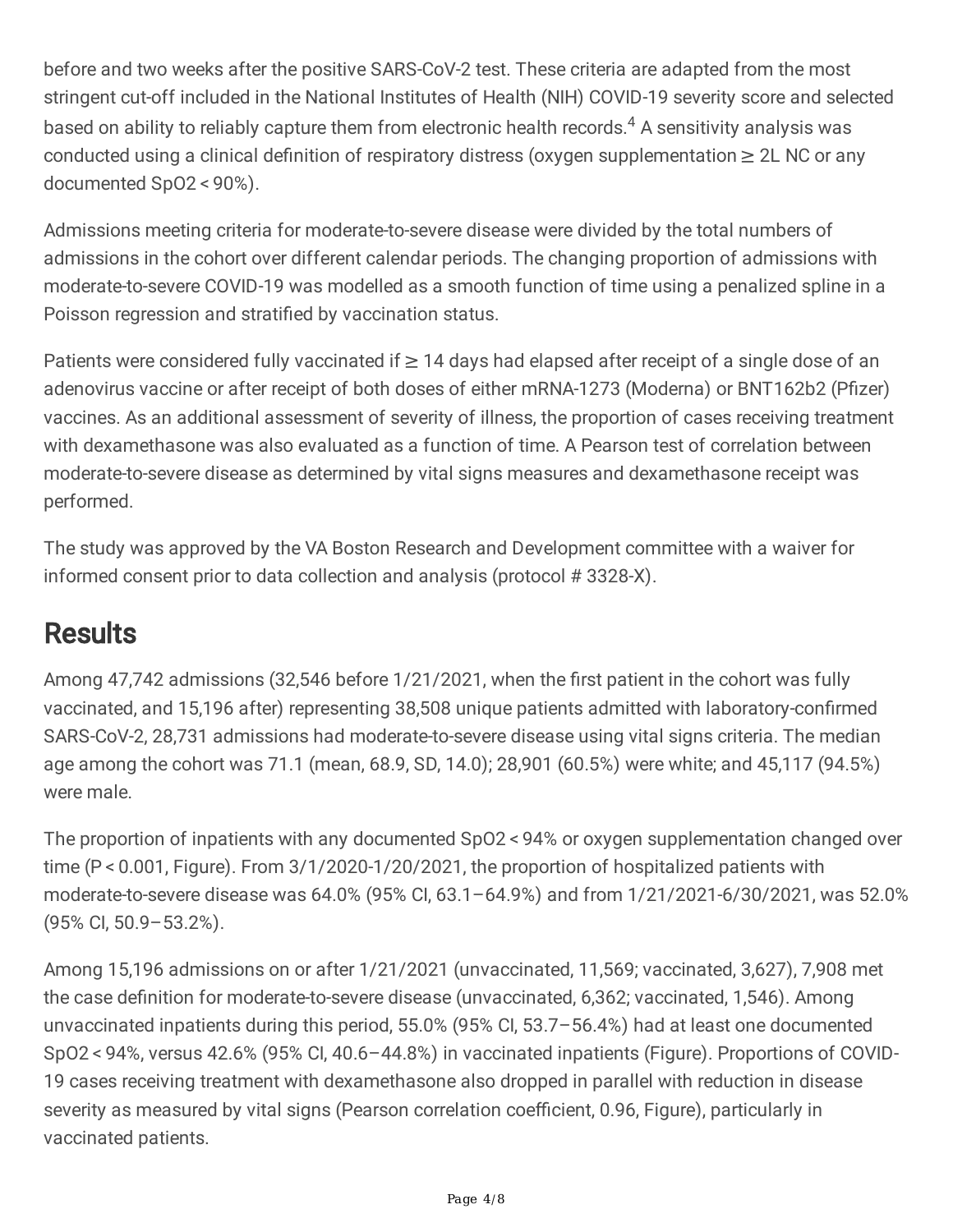before and two weeks after the positive SARS-CoV-2 test. These criteria are adapted from the most stringent cut-off included in the National Institutes of Health (NIH) COVID-19 severity score and selected based on ability to reliably capture them from electronic health records. <sup>4</sup> A sensitivity analysis was conducted using a clinical definition of respiratory distress (oxygen supplementation  $\geq 2L$  NC or any documented SpO2 < 90%).

Admissions meeting criteria for moderate-to-severe disease were divided by the total numbers of admissions in the cohort over different calendar periods. The changing proportion of admissions with moderate-to-severe COVID-19 was modelled as a smooth function of time using a penalized spline in a Poisson regression and stratified by vaccination status.

Patients were considered fully vaccinated if  $\geq$  14 days had elapsed after receipt of a single dose of an adenovirus vaccine or after receipt of both doses of either mRNA-1273 (Moderna) or BNT162b2 (Pfizer) vaccines. As an additional assessment of severity of illness, the proportion of cases receiving treatment with dexamethasone was also evaluated as a function of time. A Pearson test of correlation between moderate-to-severe disease as determined by vital signs measures and dexamethasone receipt was performed.

The study was approved by the VA Boston Research and Development committee with a waiver for informed consent prior to data collection and analysis (protocol # 3328-X).

## **Results**

Among 47,742 admissions (32,546 before 1/21/2021, when the first patient in the cohort was fully vaccinated, and 15,196 after) representing 38,508 unique patients admitted with laboratory-confirmed SARS-CoV-2, 28,731 admissions had moderate-to-severe disease using vital signs criteria. The median age among the cohort was 71.1 (mean, 68.9, SD, 14.0); 28,901 (60.5%) were white; and 45,117 (94.5%) were male.

The proportion of inpatients with any documented SpO2 < 94% or oxygen supplementation changed over time (P < 0.001, Figure). From 3/1/2020-1/20/2021, the proportion of hospitalized patients with moderate-to-severe disease was 64.0% (95% CI, 63.1–64.9%) and from 1/21/2021-6/30/2021, was 52.0% (95% CI, 50.9–53.2%).

Among 15,196 admissions on or after 1/21/2021 (unvaccinated, 11,569; vaccinated, 3,627), 7,908 met the case definition for moderate-to-severe disease (unvaccinated, 6,362; vaccinated, 1,546). Among unvaccinated inpatients during this period, 55.0% (95% CI, 53.7–56.4%) had at least one documented SpO2 < 94%, versus 42.6% (95% CI, 40.6–44.8%) in vaccinated inpatients (Figure). Proportions of COVID-19 cases receiving treatment with dexamethasone also dropped in parallel with reduction in disease severity as measured by vital signs (Pearson correlation coefficient, 0.96, Figure), particularly in vaccinated patients.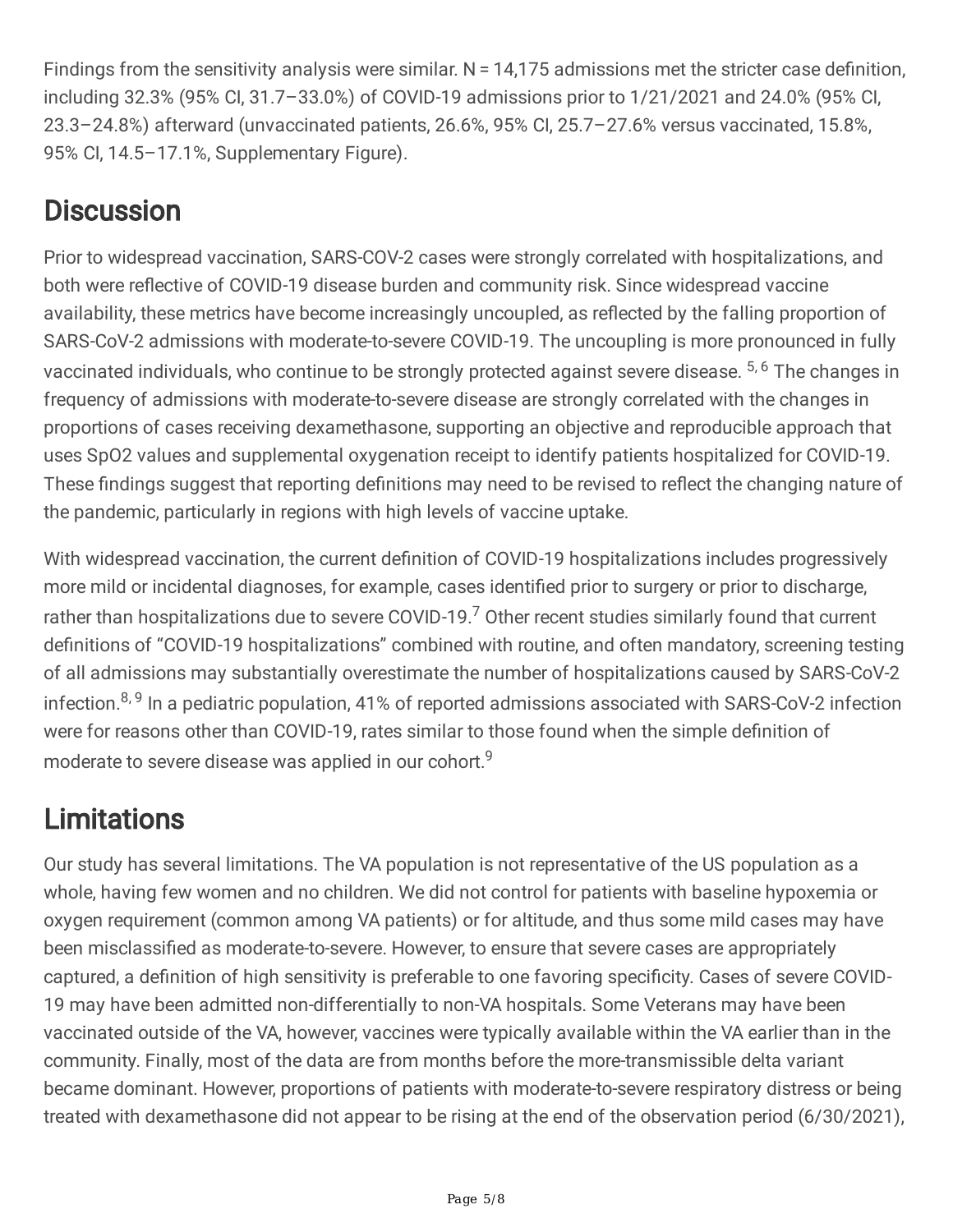Findings from the sensitivity analysis were similar.  $N = 14,175$  admissions met the stricter case definition, including 32.3% (95% CI, 31.7–33.0%) of COVID-19 admissions prior to 1/21/2021 and 24.0% (95% CI, 23.3–24.8%) afterward (unvaccinated patients, 26.6%, 95% CI, 25.7–27.6% versus vaccinated, 15.8%, 95% CI, 14.5–17.1%, Supplementary Figure).

### **Discussion**

Prior to widespread vaccination, SARS-COV-2 cases were strongly correlated with hospitalizations, and both were reflective of COVID-19 disease burden and community risk. Since widespread vaccine availability, these metrics have become increasingly uncoupled, as reflected by the falling proportion of SARS-CoV-2 admissions with moderate-to-severe COVID-19. The uncoupling is more pronounced in fully vaccinated individuals, who continue to be strongly protected against severe disease. <sup>5, 6</sup> The changes in frequency of admissions with moderate-to-severe disease are strongly correlated with the changes in proportions of cases receiving dexamethasone, supporting an objective and reproducible approach that uses SpO2 values and supplemental oxygenation receipt to identify patients hospitalized for COVID-19. These findings suggest that reporting definitions may need to be revised to reflect the changing nature of the pandemic, particularly in regions with high levels of vaccine uptake.

With widespread vaccination, the current definition of COVID-19 hospitalizations includes progressively more mild or incidental diagnoses, for example, cases identified prior to surgery or prior to discharge, rather than hospitalizations due to severe COVID-19.<sup>7</sup> Other recent studies similarly found that current definitions of "COVID-19 hospitalizations" combined with routine, and often mandatory, screening testing of all admissions may substantially overestimate the number of hospitalizations caused by SARS-CoV-2 infection.<sup>8, 9</sup> In a pediatric population, 41% of reported admissions associated with SARS-CoV-2 infection were for reasons other than COVID-19, rates similar to those found when the simple definition of moderate to severe disease was applied in our cohort.<sup>9</sup>

## **Limitations**

Our study has several limitations. The VA population is not representative of the US population as a whole, having few women and no children. We did not control for patients with baseline hypoxemia or oxygen requirement (common among VA patients) or for altitude, and thus some mild cases may have been misclassified as moderate-to-severe. However, to ensure that severe cases are appropriately captured, a definition of high sensitivity is preferable to one favoring specificity. Cases of severe COVID-19 may have been admitted non-differentially to non-VA hospitals. Some Veterans may have been vaccinated outside of the VA, however, vaccines were typically available within the VA earlier than in the community. Finally, most of the data are from months before the more-transmissible delta variant became dominant. However, proportions of patients with moderate-to-severe respiratory distress or being treated with dexamethasone did not appear to be rising at the end of the observation period (6/30/2021),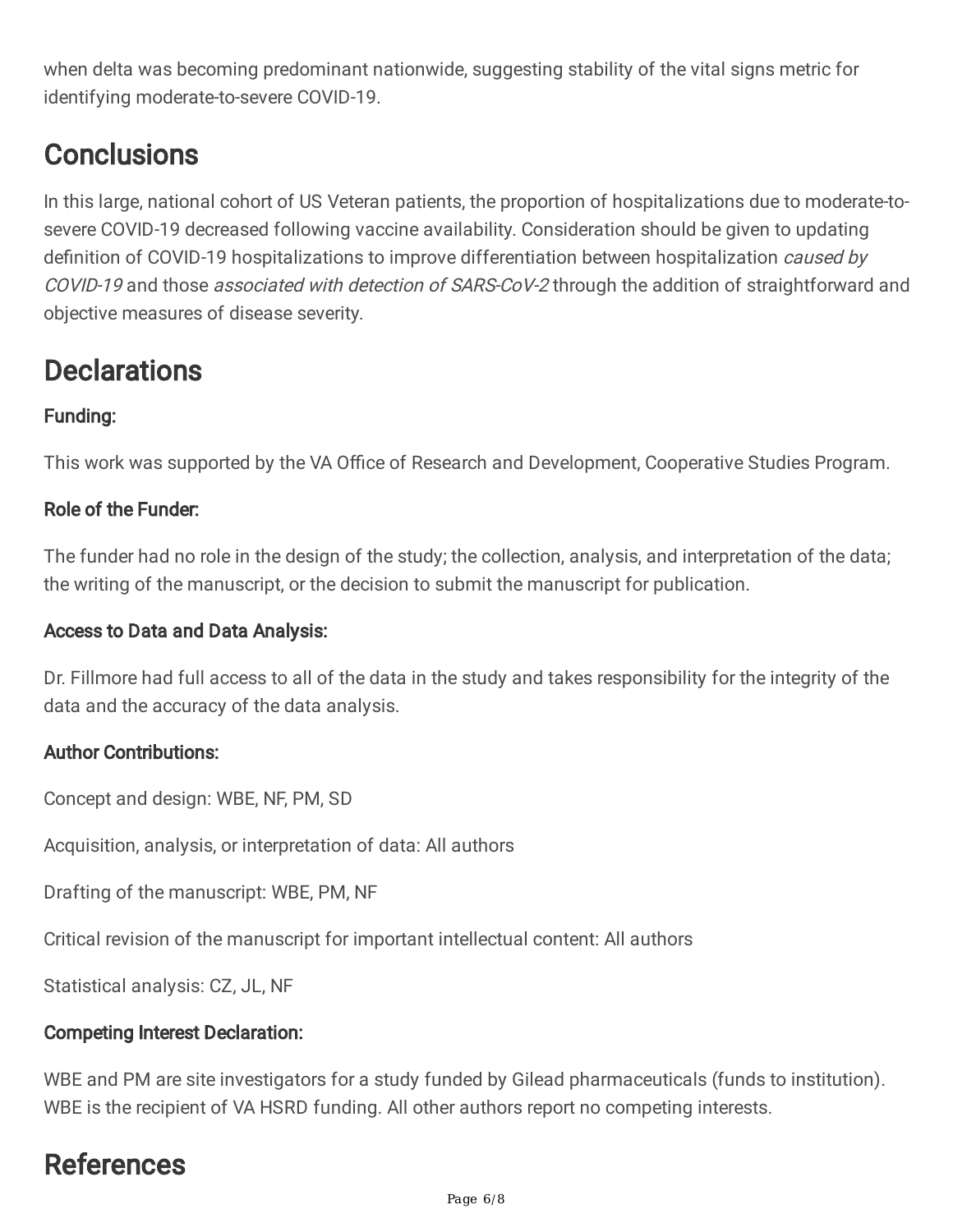when delta was becoming predominant nationwide, suggesting stability of the vital signs metric for identifying moderate-to-severe COVID-19.

### **Conclusions**

In this large, national cohort of US Veteran patients, the proportion of hospitalizations due to moderate-tosevere COVID-19 decreased following vaccine availability. Consideration should be given to updating definition of COVID-19 hospitalizations to improve differentiation between hospitalization *caused by* COVID-19 and those associated with detection of SARS-CoV-2 through the addition of straightforward and objective measures of disease severity.

### **Declarations**

### Funding:

This work was supported by the VA Office of Research and Development, Cooperative Studies Program.

### Role of the Funder:

The funder had no role in the design of the study; the collection, analysis, and interpretation of the data; the writing of the manuscript, or the decision to submit the manuscript for publication.

### Access to Data and Data Analysis:

Dr. Fillmore had full access to all of the data in the study and takes responsibility for the integrity of the data and the accuracy of the data analysis.

### Author Contributions:

Concept and design: WBE, NF, PM, SD

Acquisition, analysis, or interpretation of data: All authors

Drafting of the manuscript: WBE, PM, NF

Critical revision of the manuscript for important intellectual content: All authors

Statistical analysis: CZ, JL, NF

### Competing Interest Declaration:

WBE and PM are site investigators for a study funded by Gilead pharmaceuticals (funds to institution). WBE is the recipient of VA HSRD funding. All other authors report no competing interests.

### References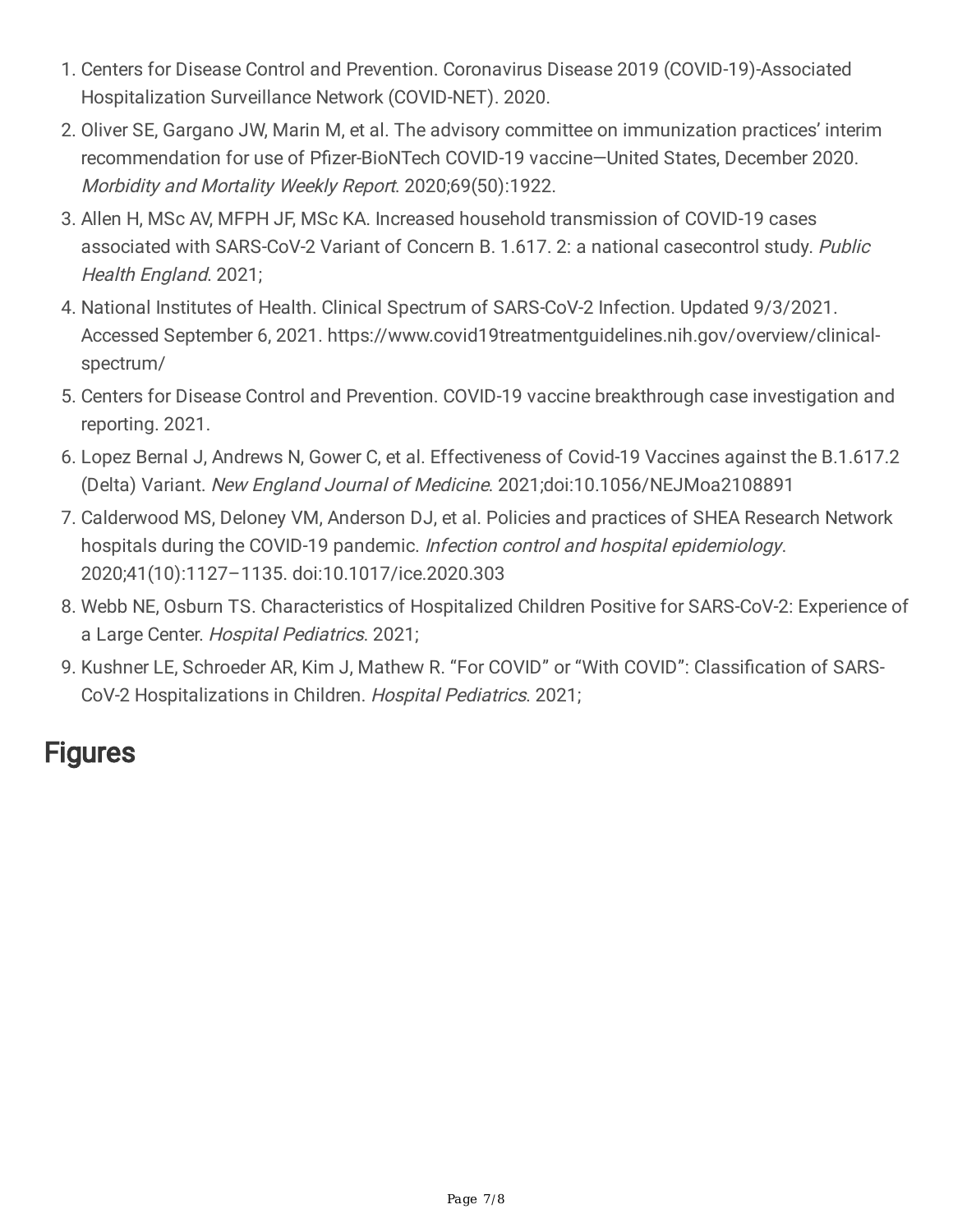- 1. Centers for Disease Control and Prevention. Coronavirus Disease 2019 (COVID-19)-Associated Hospitalization Surveillance Network (COVID-NET). 2020.
- 2. Oliver SE, Gargano JW, Marin M, et al. The advisory committee on immunization practices' interim recommendation for use of Pfizer-BioNTech COVID-19 vaccine—United States, December 2020. Morbidity and Mortality Weekly Report. 2020;69(50):1922.
- 3. Allen H, MSc AV, MFPH JF, MSc KA. Increased household transmission of COVID-19 cases associated with SARS-CoV-2 Variant of Concern B. 1.617. 2: a national casecontrol study. Public Health England. 2021;
- 4. National Institutes of Health. Clinical Spectrum of SARS-CoV-2 Infection. Updated 9/3/2021. Accessed September 6, 2021. https://www.covid19treatmentguidelines.nih.gov/overview/clinicalspectrum/
- 5. Centers for Disease Control and Prevention. COVID-19 vaccine breakthrough case investigation and reporting. 2021.
- 6. Lopez Bernal J, Andrews N, Gower C, et al. Effectiveness of Covid-19 Vaccines against the B.1.617.2 (Delta) Variant. New England Journal of Medicine. 2021;doi:10.1056/NEJMoa2108891
- 7. Calderwood MS, Deloney VM, Anderson DJ, et al. Policies and practices of SHEA Research Network hospitals during the COVID-19 pandemic. Infection control and hospital epidemiology. 2020;41(10):1127–1135. doi:10.1017/ice.2020.303
- 8. Webb NE, Osburn TS. Characteristics of Hospitalized Children Positive for SARS-CoV-2: Experience of a Large Center. Hospital Pediatrics. 2021;
- 9. Kushner LE, Schroeder AR, Kim J, Mathew R. "For COVID" or "With COVID": Classification of SARS-CoV-2 Hospitalizations in Children. Hospital Pediatrics. 2021;

### **Figures**